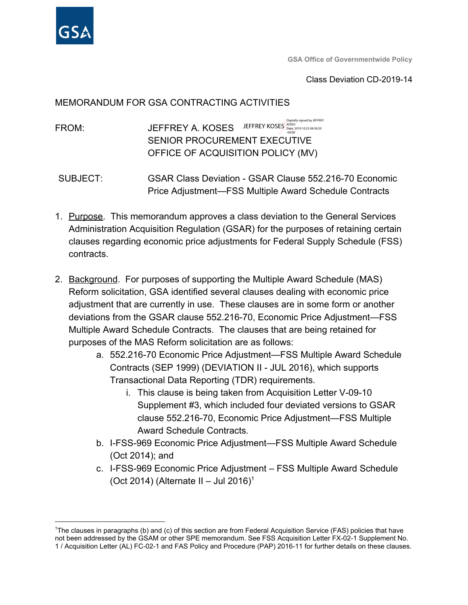

**GSA Office of Governmentwide Policy**

#### Class Deviation CD-2019-14

#### MEMORANDUM FOR GSA CONTRACTING ACTIVITIES

FROM: JEFFREY A. KOSES SENIOR PROCUREMENT EXECUTIVE OFFICE OF ACQUISITION POLICY (MV) JEFFREY KOSES Bate: 2019.10.25 08:38:20 Digitally signed by JEFFREY -04'00'

- SUBJECT: GSAR Class Deviation GSAR Clause 552.216-70 Economic Price Adjustment—FSS Multiple Award Schedule Contracts
- 1. Purpose. This memorandum approves a class deviation to the General Services Administration Acquisition Regulation (GSAR) for the purposes of retaining certain clauses regarding economic price adjustments for Federal Supply Schedule (FSS) contracts.
- 2. Background. For purposes of supporting the Multiple Award Schedule (MAS) Reform solicitation, GSA identified several clauses dealing with economic price adjustment that are currently in use. These clauses are in some form or another deviations from the GSAR clause 552.216-70, Economic Price Adjustment—FSS Multiple Award Schedule Contracts. The clauses that are being retained for purposes of the MAS Reform solicitation are as follows:
	- a. 552.216-70 Economic Price Adjustment—FSS Multiple Award Schedule Contracts (SEP 1999) (DEVIATION II - JUL 2016), which supports Transactional Data Reporting (TDR) requirements.
		- i. This clause is being taken from Acquisition Letter V-09-10 Supplement #3, which included four deviated versions to GSAR clause 552.216-70, Economic Price Adjustment—FSS Multiple Award Schedule Contracts*.*
	- b. I-FSS-969 Economic Price Adjustment—FSS Multiple Award Schedule (Oct 2014); and
	- c. I-FSS-969 Economic Price Adjustment FSS Multiple Award Schedule (Oct 2014) (Alternate II – Jul 2016)<sup>1</sup>

<sup>&</sup>lt;sup>1</sup>The clauses in paragraphs (b) and (c) of this section are from Federal Acquisition Service (FAS) policies that have not been addressed by the GSAM or other SPE memorandum. See FSS Acquisition Letter FX-02-1 Supplement No. 1 / Acquisition Letter (AL) FC-02-1 and FAS Policy and Procedure (PAP) 2016-11 for further details on these clauses.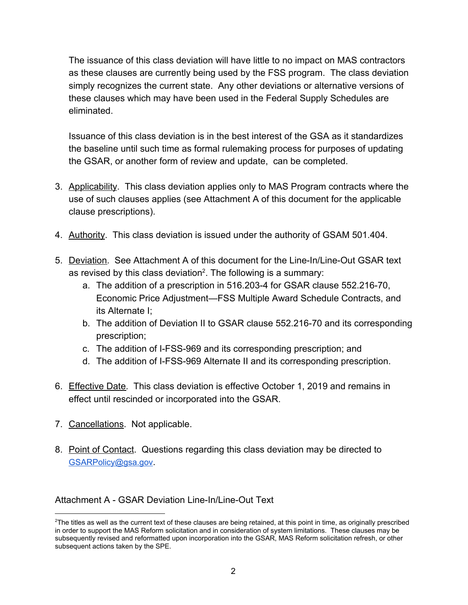The issuance of this class deviation will have little to no impact on MAS contractors as these clauses are currently being used by the FSS program. The class deviation simply recognizes the current state. Any other deviations or alternative versions of these clauses which may have been used in the Federal Supply Schedules are eliminated.

Issuance of this class deviation is in the best interest of the GSA as it standardizes the baseline until such time as formal rulemaking process for purposes of updating the GSAR, or another form of review and update, can be completed.

- 3. Applicability. This class deviation applies only to MAS Program contracts where the use of such clauses applies (see Attachment A of this document for the applicable clause prescriptions).
- 4. Authority. This class deviation is issued under the authority of GSAM 501.404.
- 5. Deviation. See Attachment A of this document for the Line-In/Line-Out GSAR text as revised by this class deviation<sup>2</sup>. The following is a summary:
	- a. The addition of a prescription in 516.203-4 for GSAR clause 552.216-70, Economic Price Adjustment—FSS Multiple Award Schedule Contracts, and its Alternate I;
	- b. The addition of Deviation II to GSAR clause 552.216-70 and its corresponding prescription;
	- c. The addition of I-FSS-969 and its corresponding prescription; and
	- d. The addition of I-FSS-969 Alternate II and its corresponding prescription.
- 6. Effective Date. This class deviation is effective October 1, 2019 and remains in effect until rescinded or incorporated into the GSAR.
- 7. Cancellations. Not applicable.
- 8. Point of Contact. Questions regarding this class deviation may be directed to [GSARPolicy@gsa.gov](mailto:GSARPolicy@gsa.gov).

## Attachment A - GSAR Deviation Line-In/Line-Out Text

 $2$ The titles as well as the current text of these clauses are being retained, at this point in time, as originally prescribed in order to support the MAS Reform solicitation and in consideration of system limitations. These clauses may be subsequently revised and reformatted upon incorporation into the GSAR, MAS Reform solicitation refresh, or other subsequent actions taken by the SPE.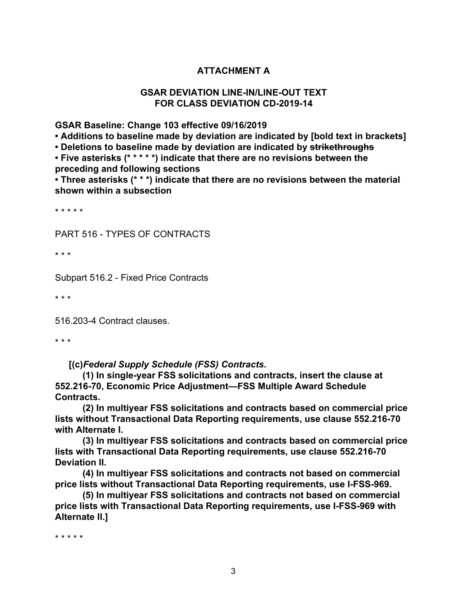## **ATTACHMENT A**

#### **GSAR DEVIATION LINE-IN/LINE-OUT TEXT FOR CLASS DEVIATION CD-2019-14**

**GSAR Baseline: Change 103 effective 09/16/2019**

**• Additions to baseline made by deviation are indicated by [bold text in brackets]**

**• Deletions to baseline made by deviation are indicated by strikethroughs**

**• Five asterisks (\* \* \* \* \*) indicate that there are no revisions between the preceding and following sections**

**• Three asterisks (\* \* \*) indicate that there are no revisions between the material shown within a subsection**

\* \* \* \* \*

PART 516 - TYPES OF CONTRACTS

\* \* \*

Subpart 516.2 - Fixed Price Contracts

\* \* \*

516.203-4 Contract clauses.

\* \* \*

**[(c)***Federal Supply Schedule (FSS) Contracts.*

**(1) In single-year FSS solicitations and contracts, insert the clause at 552.216-70, Economic Price Adjustment—FSS Multiple Award Schedule Contracts.**

**(2) In multiyear FSS solicitations and contracts based on commercial price lists without Transactional Data Reporting requirements, use clause 552.216-70 with Alternate I.**

**(3) In multiyear FSS solicitations and contracts based on commercial price lists with Transactional Data Reporting requirements, use clause 552.216-70 Deviation II.**

**(4) In multiyear FSS solicitations and contracts not based on commercial price lists without Transactional Data Reporting requirements, use I-FSS-969.**

**(5) In multiyear FSS solicitations and contracts not based on commercial price lists with Transactional Data Reporting requirements, use I-FSS-969 with Alternate II.]**

\* \* \* \* \*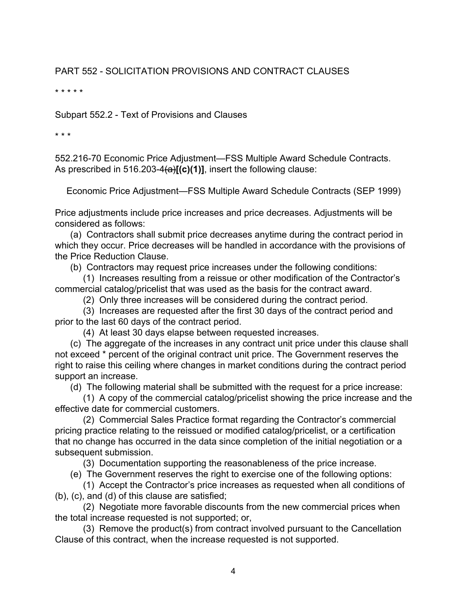# PART 552 - SOLICITATION PROVISIONS AND CONTRACT CLAUSES

\* \* \* \* \*

Subpart 552.2 - Text of Provisions and Clauses

\* \* \*

552.216-70 Economic Price Adjustment—FSS Multiple Award Schedule Contracts. As prescribed in 516.203-4(a)**[(c)(1)]**, insert the following clause:

Economic Price Adjustment—FSS Multiple Award Schedule Contracts (SEP 1999)

Price adjustments include price increases and price decreases. Adjustments will be considered as follows:

 (a) Contractors shall submit price decreases anytime during the contract period in which they occur. Price decreases will be handled in accordance with the provisions of the Price Reduction Clause.

(b) Contractors may request price increases under the following conditions:

 (1) Increases resulting from a reissue or other modification of the Contractor's commercial catalog/pricelist that was used as the basis for the contract award.

(2) Only three increases will be considered during the contract period.

 (3) Increases are requested after the first 30 days of the contract period and prior to the last 60 days of the contract period.

(4) At least 30 days elapse between requested increases.

 (c) The aggregate of the increases in any contract unit price under this clause shall not exceed \* percent of the original contract unit price. The Government reserves the right to raise this ceiling where changes in market conditions during the contract period support an increase.

(d) The following material shall be submitted with the request for a price increase:

 (1) A copy of the commercial catalog/pricelist showing the price increase and the effective date for commercial customers.

 (2) Commercial Sales Practice format regarding the Contractor's commercial pricing practice relating to the reissued or modified catalog/pricelist, or a certification that no change has occurred in the data since completion of the initial negotiation or a subsequent submission.

(3) Documentation supporting the reasonableness of the price increase.

(e) The Government reserves the right to exercise one of the following options:

 (1) Accept the Contractor's price increases as requested when all conditions of (b), (c), and (d) of this clause are satisfied;

 (2) Negotiate more favorable discounts from the new commercial prices when the total increase requested is not supported; or,

 (3) Remove the product(s) from contract involved pursuant to the Cancellation Clause of this contract, when the increase requested is not supported.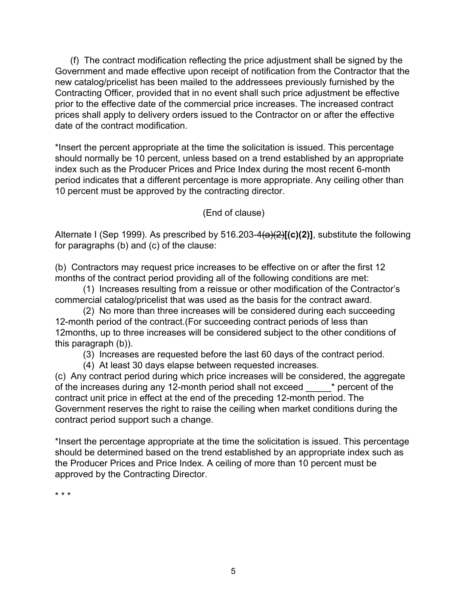(f) The contract modification reflecting the price adjustment shall be signed by the Government and made effective upon receipt of notification from the Contractor that the new catalog/pricelist has been mailed to the addressees previously furnished by the Contracting Officer, provided that in no event shall such price adjustment be effective prior to the effective date of the commercial price increases. The increased contract prices shall apply to delivery orders issued to the Contractor on or after the effective date of the contract modification.

\*Insert the percent appropriate at the time the solicitation is issued. This percentage should normally be 10 percent, unless based on a trend established by an appropriate index such as the Producer Prices and Price Index during the most recent 6-month period indicates that a different percentage is more appropriate. Any ceiling other than 10 percent must be approved by the contracting director.

(End of clause)

Alternate I (Sep 1999). As prescribed by 516.203-4(a)(2)**[(c)(2)]**, substitute the following for paragraphs (b) and (c) of the clause:

(b) Contractors may request price increases to be effective on or after the first 12 months of the contract period providing all of the following conditions are met:

 (1) Increases resulting from a reissue or other modification of the Contractor's commercial catalog/pricelist that was used as the basis for the contract award.

 (2) No more than three increases will be considered during each succeeding 12-month period of the contract.(For succeeding contract periods of less than 12months, up to three increases will be considered subject to the other conditions of this paragraph (b)).

(3) Increases are requested before the last 60 days of the contract period.

(4) At least 30 days elapse between requested increases.

(c) Any contract period during which price increases will be considered, the aggregate of the increases during any 12-month period shall not exceed \_\_\_\_\_\* percent of the contract unit price in effect at the end of the preceding 12-month period. The Government reserves the right to raise the ceiling when market conditions during the contract period support such a change.

\*Insert the percentage appropriate at the time the solicitation is issued. This percentage should be determined based on the trend established by an appropriate index such as the Producer Prices and Price Index. A ceiling of more than 10 percent must be approved by the Contracting Director.

\* \* \*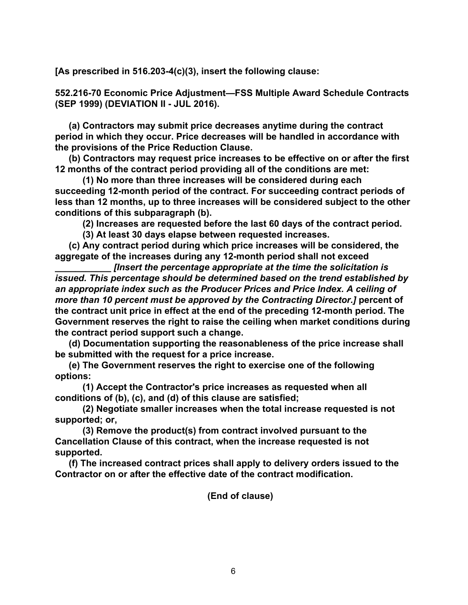**[As prescribed in 516.203-4(c)(3), insert the following clause:**

**552.216-70 Economic Price Adjustment—FSS Multiple Award Schedule Contracts (SEP 1999) (DEVIATION II - JUL 2016).**

**(a) Contractors may submit price decreases anytime during the contract period in which they occur. Price decreases will be handled in accordance with the provisions of the Price Reduction Clause.**

**(b) Contractors may request price increases to be effective on or after the first 12 months of the contract period providing all of the conditions are met:**

**(1) No more than three increases will be considered during each succeeding 12-month period of the contract. For succeeding contract periods of less than 12 months, up to three increases will be considered subject to the other conditions of this subparagraph (b).**

**(2) Increases are requested before the last 60 days of the contract period.**

**(3) At least 30 days elapse between requested increases.**

**(c) Any contract period during which price increases will be considered, the aggregate of the increases during any 12-month period shall not exceed**

**\_\_\_\_\_\_\_\_\_\_\_** *[Insert the percentage appropriate at the time the solicitation is issued. This percentage should be determined based on the trend established by an appropriate index such as the Producer Prices and Price Index. A ceiling of more than 10 percent must be approved by the Contracting Director.]* **percent of the contract unit price in effect at the end of the preceding 12-month period. The Government reserves the right to raise the ceiling when market conditions during the contract period support such a change.**

**(d) Documentation supporting the reasonableness of the price increase shall be submitted with the request for a price increase.**

**(e) The Government reserves the right to exercise one of the following options:**

**(1) Accept the Contractor's price increases as requested when all conditions of (b), (c), and (d) of this clause are satisfied;**

**(2) Negotiate smaller increases when the total increase requested is not supported; or,**

**(3) Remove the product(s) from contract involved pursuant to the Cancellation Clause of this contract, when the increase requested is not supported.**

**(f) The increased contract prices shall apply to delivery orders issued to the Contractor on or after the effective date of the contract modification.**

**(End of clause)**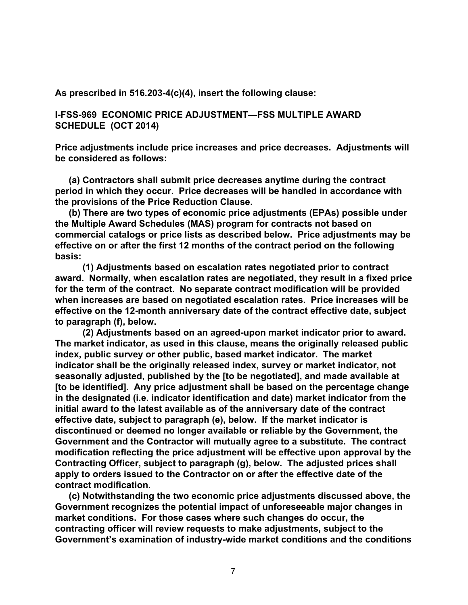**As prescribed in 516.203-4(c)(4), insert the following clause:**

**I-FSS-969 ECONOMIC PRICE ADJUSTMENT—FSS MULTIPLE AWARD SCHEDULE (OCT 2014)**

**Price adjustments include price increases and price decreases. Adjustments will be considered as follows:**

**(a) Contractors shall submit price decreases anytime during the contract period in which they occur. Price decreases will be handled in accordance with the provisions of the Price Reduction Clause.**

**(b) There are two types of economic price adjustments (EPAs) possible under the Multiple Award Schedules (MAS) program for contracts not based on commercial catalogs or price lists as described below. Price adjustments may be effective on or after the first 12 months of the contract period on the following basis:**

**(1) Adjustments based on escalation rates negotiated prior to contract award. Normally, when escalation rates are negotiated, they result in a fixed price for the term of the contract. No separate contract modification will be provided when increases are based on negotiated escalation rates. Price increases will be effective on the 12-month anniversary date of the contract effective date, subject to paragraph (f), below.**

**(2) Adjustments based on an agreed-upon market indicator prior to award. The market indicator, as used in this clause, means the originally released public index, public survey or other public, based market indicator. The market indicator shall be the originally released index, survey or market indicator, not seasonally adjusted, published by the [to be negotiated], and made available at [to be identified]. Any price adjustment shall be based on the percentage change in the designated (i.e. indicator identification and date) market indicator from the initial award to the latest available as of the anniversary date of the contract effective date, subject to paragraph (e), below. If the market indicator is discontinued or deemed no longer available or reliable by the Government, the Government and the Contractor will mutually agree to a substitute. The contract modification reflecting the price adjustment will be effective upon approval by the Contracting Officer, subject to paragraph (g), below. The adjusted prices shall apply to orders issued to the Contractor on or after the effective date of the contract modification.**

**(c) Notwithstanding the two economic price adjustments discussed above, the Government recognizes the potential impact of unforeseeable major changes in market conditions. For those cases where such changes do occur, the contracting officer will review requests to make adjustments, subject to the Government's examination of industry-wide market conditions and the conditions**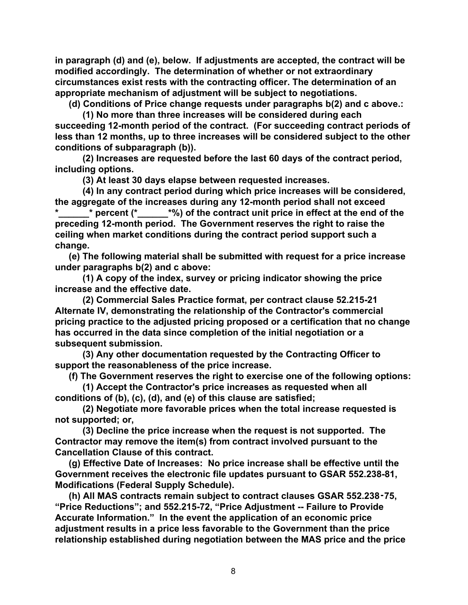**in paragraph (d) and (e), below. If adjustments are accepted, the contract will be modified accordingly. The determination of whether or not extraordinary circumstances exist rests with the contracting officer. The determination of an appropriate mechanism of adjustment will be subject to negotiations.**

**(d) Conditions of Price change requests under paragraphs b(2) and c above.:**

**(1) No more than three increases will be considered during each succeeding 12-month period of the contract. (For succeeding contract periods of less than 12 months, up to three increases will be considered subject to the other conditions of subparagraph (b)).**

**(2) Increases are requested before the last 60 days of the contract period, including options.**

**(3) At least 30 days elapse between requested increases.**

**(4) In any contract period during which price increases will be considered, the aggregate of the increases during any 12-month period shall not exceed \*\_\_\_\_\_\_\* percent (\*\_\_\_\_\_\_\*%) of the contract unit price in effect at the end of the preceding 12-month period. The Government reserves the right to raise the ceiling when market conditions during the contract period support such a change.**

**(e) The following material shall be submitted with request for a price increase under paragraphs b(2) and c above:**

**(1) A copy of the index, survey or pricing indicator showing the price increase and the effective date.**

**(2) Commercial Sales Practice format, per contract clause 52.215-21 Alternate IV, demonstrating the relationship of the Contractor's commercial pricing practice to the adjusted pricing proposed or a certification that no change has occurred in the data since completion of the initial negotiation or a subsequent submission.**

**(3) Any other documentation requested by the Contracting Officer to support the reasonableness of the price increase.**

**(f) The Government reserves the right to exercise one of the following options:**

**(1) Accept the Contractor's price increases as requested when all conditions of (b), (c), (d), and (e) of this clause are satisfied;**

**(2) Negotiate more favorable prices when the total increase requested is not supported; or,**

**(3) Decline the price increase when the request is not supported. The Contractor may remove the item(s) from contract involved pursuant to the Cancellation Clause of this contract.**

**(g) Effective Date of Increases: No price increase shall be effective until the Government receives the electronic file updates pursuant to GSAR 552.238-81, Modifications (Federal Supply Schedule).**

**(h) All MAS contracts remain subject to contract clauses GSAR 552.238**‑**75, "Price Reductions"; and 552.215-72, "Price Adjustment -- Failure to Provide Accurate Information." In the event the application of an economic price adjustment results in a price less favorable to the Government than the price relationship established during negotiation between the MAS price and the price**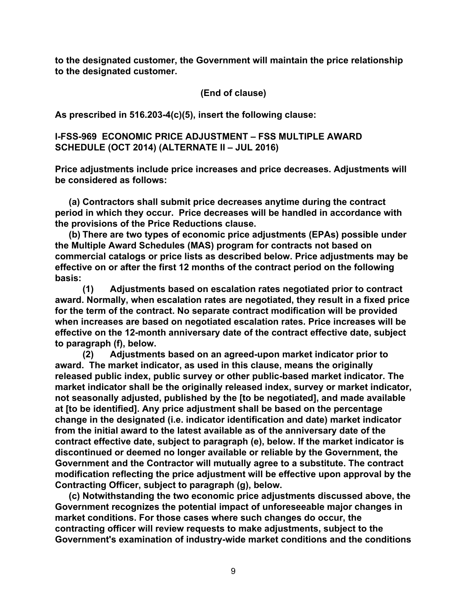**to the designated customer, the Government will maintain the price relationship to the designated customer.**

**(End of clause)**

**As prescribed in 516.203-4(c)(5), insert the following clause:**

**I-FSS-969 ECONOMIC PRICE ADJUSTMENT – FSS MULTIPLE AWARD SCHEDULE (OCT 2014) (ALTERNATE II – JUL 2016)**

**Price adjustments include price increases and price decreases. Adjustments will be considered as follows:**

**(a) Contractors shall submit price decreases anytime during the contract period in which they occur. Price decreases will be handled in accordance with the provisions of the Price Reductions clause.**

**(b) There are two types of economic price adjustments (EPAs) possible under the Multiple Award Schedules (MAS) program for contracts not based on commercial catalogs or price lists as described below. Price adjustments may be effective on or after the first 12 months of the contract period on the following basis:**

**(1) Adjustments based on escalation rates negotiated prior to contract award. Normally, when escalation rates are negotiated, they result in a fixed price for the term of the contract. No separate contract modification will be provided when increases are based on negotiated escalation rates. Price increases will be effective on the 12-month anniversary date of the contract effective date, subject to paragraph (f), below.**

**(2) Adjustments based on an agreed-upon market indicator prior to award. The market indicator, as used in this clause, means the originally released public index, public survey or other public-based market indicator. The market indicator shall be the originally released index, survey or market indicator, not seasonally adjusted, published by the [to be negotiated], and made available at [to be identified]. Any price adjustment shall be based on the percentage change in the designated (i.e. indicator identification and date) market indicator from the initial award to the latest available as of the anniversary date of the contract effective date, subject to paragraph (e), below. If the market indicator is discontinued or deemed no longer available or reliable by the Government, the Government and the Contractor will mutually agree to a substitute. The contract modification reflecting the price adjustment will be effective upon approval by the Contracting Officer, subject to paragraph (g), below.**

**(c) Notwithstanding the two economic price adjustments discussed above, the Government recognizes the potential impact of unforeseeable major changes in market conditions. For those cases where such changes do occur, the contracting officer will review requests to make adjustments, subject to the Government's examination of industry-wide market conditions and the conditions**